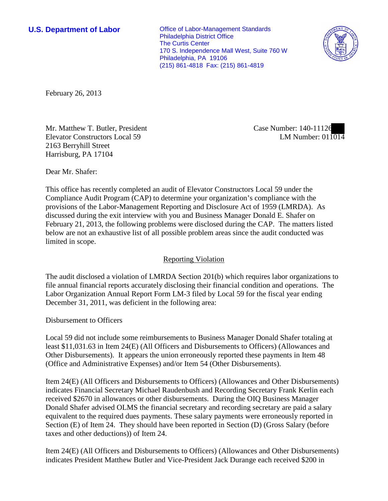**U.S. Department of Labor Conservative Conservative Conservative Conservative Conservative Conservative Conservative Conservative Conservative Conservative Conservative Conservative Conservative Conservative Conservative** Philadelphia District Office The Curtis Center 170 S. Independence Mall West, Suite 760 W Philadelphia, PA 19106 (215) 861-4818 Fax: (215) 861-4819



February 26, 2013

Mr. Matthew T. Butler, President Elevator Constructors Local 59 2163 Berryhill Street Harrisburg, PA 17104

Case Number: 140-11126 LM Number: 011014

Dear Mr. Shafer:

This office has recently completed an audit of Elevator Constructors Local 59 under the Compliance Audit Program (CAP) to determine your organization's compliance with the provisions of the Labor-Management Reporting and Disclosure Act of 1959 (LMRDA). As discussed during the exit interview with you and Business Manager Donald E. Shafer on February 21, 2013, the following problems were disclosed during the CAP. The matters listed below are not an exhaustive list of all possible problem areas since the audit conducted was limited in scope.

## Reporting Violation

The audit disclosed a violation of LMRDA Section 201(b) which requires labor organizations to file annual financial reports accurately disclosing their financial condition and operations. The Labor Organization Annual Report Form LM-3 filed by Local 59 for the fiscal year ending December 31, 2011, was deficient in the following area:

Disbursement to Officers

Local 59 did not include some reimbursements to Business Manager Donald Shafer totaling at least \$11,031.63 in Item 24(E) (All Officers and Disbursements to Officers) (Allowances and Other Disbursements). It appears the union erroneously reported these payments in Item 48 (Office and Administrative Expenses) and/or Item 54 (Other Disbursements).

Item 24(E) (All Officers and Disbursements to Officers) (Allowances and Other Disbursements) indicates Financial Secretary Michael Raudenbush and Recording Secretary Frank Kerlin each received \$2670 in allowances or other disbursements. During the OIQ Business Manager Donald Shafer advised OLMS the financial secretary and recording secretary are paid a salary equivalent to the required dues payments. These salary payments were erroneously reported in Section (E) of Item 24. They should have been reported in Section (D) (Gross Salary (before taxes and other deductions)) of Item 24.

Item 24(E) (All Officers and Disbursements to Officers) (Allowances and Other Disbursements) indicates President Matthew Butler and Vice-President Jack Durange each received \$200 in